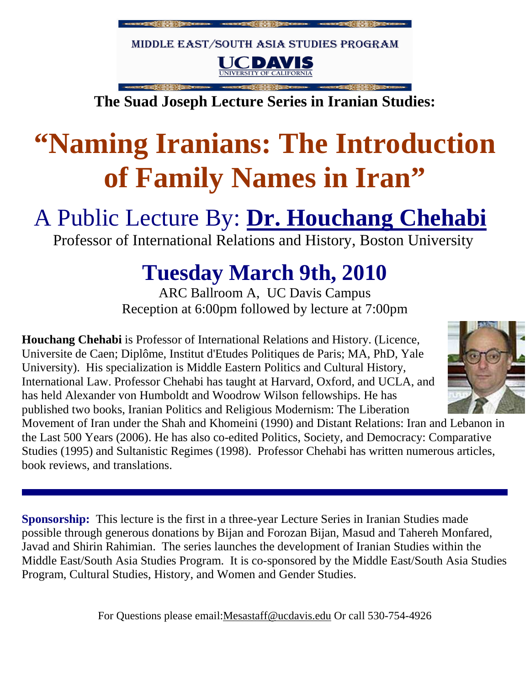

**The Suad Joseph Lecture Series in Iranian Studies:**

# **"Naming Iranians: The Introduction of Family Names in Iran"**

## A Public Lecture By: **Dr. Houchang Chehabi**

Professor of International Relations and History, Boston University

## **Tuesday March 9th, 2010**

ARC Ballroom A, UC Davis Campus Reception at 6:00pm followed by lecture at 7:00pm

**Houchang Chehabi** is Professor of International Relations and History. (Licence, Universite de Caen; Diplôme, Institut d'Etudes Politiques de Paris; MA, PhD, Yale University). His specialization is Middle Eastern Politics and Cultural History, International Law. Professor Chehabi has taught at Harvard, Oxford, and UCLA, and has held Alexander von Humboldt and Woodrow Wilson fellowships. He has published two books, Iranian Politics and Religious Modernism: The Liberation



Movement of Iran under the Shah and Khomeini (1990) and Distant Relations: Iran and Lebanon in the Last 500 Years (2006). He has also co-edited Politics, Society, and Democracy: Comparative Studies (1995) and Sultanistic Regimes (1998). Professor Chehabi has written numerous articles, book reviews, and translations.

**Sponsorship:** This lecture is the first in a three-year Lecture Series in Iranian Studies made possible through generous donations by Bijan and Forozan Bijan, Masud and Tahereh Monfared, Javad and Shirin Rahimian. The series launches the development of Iranian Studies within the Middle East/South Asia Studies Program. It is co-sponsored by the Middle East/South Asia Studies Program, Cultural Studies, History, and Women and Gender Studies.

For Questions please email:Mesastaff@ucdavis.edu Or call 530-754-4926